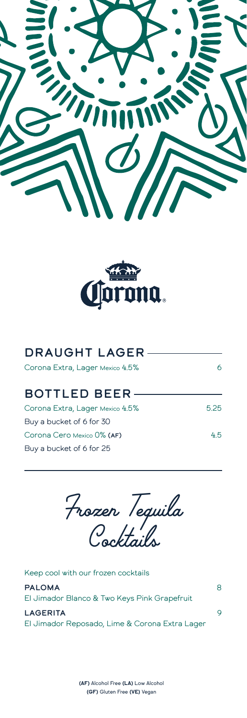



| <b>DRAUGHT LAGER-</b>           |     |
|---------------------------------|-----|
| Corona Extra, Lager Mexico 4.5% |     |
| <b>BOTTLED BEER-</b>            |     |
| Corona Extra, Lager Mexico 4.5% | 525 |
| Buy a bucket of 6 for 30        |     |
| Corona Cero Mexico 0% (AF)      | 45  |
| Buy a bucket of 6 for 25        |     |

*Frozen Tequila Cocktails*

| <b>LAGERITA</b><br>El Jimador Reposado, Lime & Corona Extra Lager | Q |
|-------------------------------------------------------------------|---|
| <b>PALOMA</b><br>El Jimador Blanco & Two Keys Pink Grapefruit     | 8 |
| Keep cool with our frozen cocktails                               |   |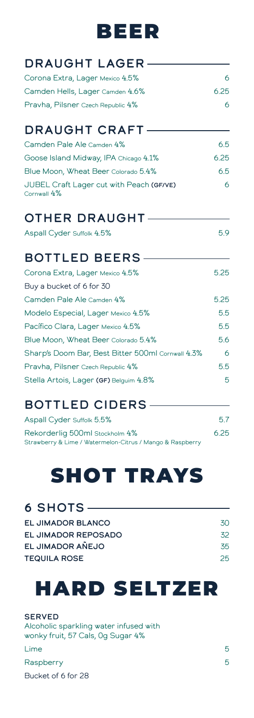### BEER

| <b>DRAUGHT LAGER-</b>             |      |
|-----------------------------------|------|
| Corona Extra, Lager Mexico 4.5%   |      |
| Camden Hells, Lager Camden 4.6%   | 6.25 |
| Pravha, Pilsner Czech Republic 4% |      |
| <b>DRAUGHT CRAFT-</b>             |      |

| ______________________                                  |      |
|---------------------------------------------------------|------|
| Camden Pale Ale Camden 4%                               | 6.5  |
| Goose Island Midway, IPA Chicago 4.1%                   | 6.25 |
| Blue Moon, Wheat Beer Colorado 5.4%                     | 6.5  |
| JUBEL Craft Lager cut with Peach (GF/VE)<br>Cornwall 4% |      |

#### OTHER DRAUGHT

Aspall Cyder Suffolk 4.5% 5.9

### BOTTLED BEERS

| Corona Extra, Lager Mexico 4.5%                   | 5.25 |
|---------------------------------------------------|------|
| Buy a bucket of 6 for 30                          |      |
| Camden Pale Ale Camden 4%                         | 5.25 |
| Modelo Especial, Lager Mexico 4.5%                | 5.5  |
| Pacífico Clara, Lager Mexico 4.5%                 | 5.5  |
| Blue Moon, Wheat Beer Colorado 5.4%               | 5.6  |
| Sharp's Doom Bar, Best Bitter 500ml Cornwall 4.3% | 6    |
| Pravha, Pilsner Czech Republic 4%                 | 5.5  |
| Stella Artois, Lager (GF) Belguim 4.8%            | 5    |

### BOTTLED CIDERS

| Aspall Cyder Suffolk 5.5%                                 | 5.7  |
|-----------------------------------------------------------|------|
| Rekorderlig 500ml Stockholm 4%                            | 6.25 |
| Strawberry & Lime / Watermelon-Citrus / Mango & Raspberry |      |

# SHOT TRAYS

#### 6 SHOTS

| 30 |
|----|
| 32 |
| 35 |
| 25 |
|    |

## HARD SELTZER

**SERVED** Alcoholic sparkling water infused with wonky fruit, 57 Cals, 0g Sugar 4%

Lime 5 Raspberry 5 Bucket of 6 for 28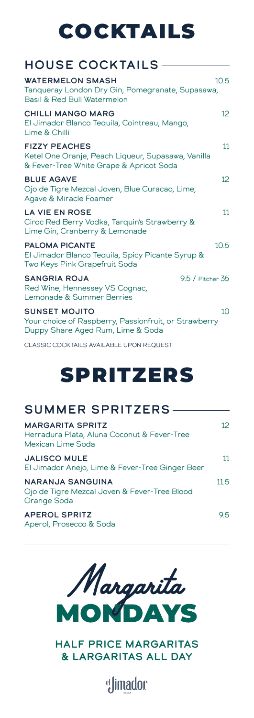# COCKTAILS

#### HOUSE COCKTAILS

| <b>WATERMELON SMASH</b><br>Tangueray London Dry Gin, Pomegranate, Supasawa,<br>Basil & Red Bull Watermelon            | 10.5            |
|-----------------------------------------------------------------------------------------------------------------------|-----------------|
| <b>CHILLI MANGO MARG</b><br>El Jimador Blanco Tequila, Cointreau, Mango,<br>Lime & Chilli                             | 12 <sup>°</sup> |
| <b>FIZZY PEACHES</b><br>Ketel One Oranje, Peach Liqueur, Supasawa, Vanilla<br>& Fever-Tree White Grape & Apricot Soda | 11              |
| <b>BLUE AGAVE</b><br>Ojo de Tigre Mezcal Joven, Blue Curacao, Lime,<br>Agave & Miracle Foamer                         | 12 <sup>°</sup> |
| <b>LA VIE EN ROSE</b><br>Ciroc Red Berry Vodka, Tarquin's Strawberry &<br>Lime Gin, Cranberry & Lemonade              | 11              |
| <b>PALOMA PICANTE</b><br>El Jimador Blanco Tequila, Spicy Picante Syrup &<br>Two Keys Pink Grapefruit Soda            | 10.5            |
| <b>SANGRIA ROJA</b><br>9.5 / Pitcher 35<br>Red Wine, Hennessey VS Cognac,<br>Lemonade & Summer Berries                |                 |
| <b>SUNSET MOJITO</b><br>Your choice of Raspberry, Passionfruit, or Strawberry<br>Duppy Share Aged Rum, Lime & Soda    | 10 <sup>1</sup> |

CLASSIC COCKTAILS AVAILABLE UPON REQUEST

## SPRITZERS

#### SUMMER SPRITZERS

| <b>MARGARITA SPRITZ</b><br>Herradura Plata, Aluna Coconut & Fever-Tree<br>Mexican Lime Soda | 12   |
|---------------------------------------------------------------------------------------------|------|
| <b>JALISCO MULE</b><br>El Jimador Anejo, Lime & Fever-Tree Ginger Beer                      | 11   |
| <b>NARANJA SANGUINA</b><br>Ojo de Tigre Mezcal Joven & Fever-Tree Blood<br>Orange Soda      | 11.5 |
| <b>APEROL SPRITZ</b><br>Aperol, Prosecco & Soda                                             | 95   |



HALF PRICE MARGARITAS & LARGARITAS ALL DAY

el **Jimador**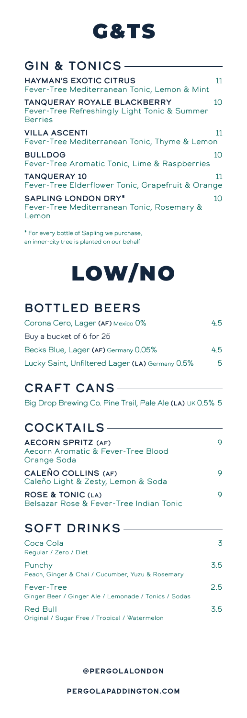### G&TS

#### GIN & TONICS

| <b>HAYMAN'S EXOTIC CITRUS</b><br>Fever-Tree Mediterranean Tonic, Lemon & Mint                        | 11 |
|------------------------------------------------------------------------------------------------------|----|
| <b>TANQUERAY ROYALE BLACKBERRY</b><br>Fever-Tree Refreshingly Light Tonic & Summer<br><b>Berries</b> | 10 |
| <b>VILLA ASCENTI</b><br>Fever-Tree Mediterranean Tonic, Thyme & Lemon                                | 11 |
| <b>BULLDOG</b><br>Fever-Tree Aromatic Tonic, Lime & Raspberries                                      | 10 |
| <b>TANQUERAY 10</b><br>Fever-Tree Elderflower Tonic, Grapefruit & Orange                             | 11 |
| <b>SAPLING LONDON DRY*</b><br>Fever-Tree Mediterranean Tonic, Rosemary &<br>Lemon                    | 10 |

\* For every bottle of Sapling we purchase, an inner-city tree is planted on our behalf

# LOW/NO

#### BOTTLED BEERS

| Corona Cero, Lager (AF) Mexico 0%               | 45 |
|-------------------------------------------------|----|
| Buy a bucket of 6 for 25                        |    |
| Becks Blue, Lager (AF) Germany 0.05%            | 45 |
| Lucky Saint, Unfiltered Lager (LA) Germany 0.5% | 5  |

#### CRAFT CANS

Big Drop Brewing Co. Pine Trail, Pale Ale (LA) UK 0.5% 5

#### COCKTAILS

| <b>AECORN SPRITZ (AF)</b><br>Aecorn Aromatic & Fever-Tree Blood<br>Orange Soda |   |
|--------------------------------------------------------------------------------|---|
| CALEÑO COLLINS (AF)<br>Caleño Light & Zesty, Lemon & Soda                      | Q |
| <b>ROSE &amp; TONIC (LA)</b><br>Belsazar Rose & Fever-Tree Indian Tonic        | Q |

#### SOFT DRINKS

| Coca Cola<br>Regular / Zero / Diet                                 | 3             |
|--------------------------------------------------------------------|---------------|
| Punchy<br>Peach, Ginger & Chai / Cucumber, Yuzu & Rosemary         | $3.5^{\circ}$ |
| Fever-Tree<br>Ginger Beer / Ginger Ale / Lemonade / Tonics / Sodas | 25            |
| Red Bull<br>Original / Sugar Free / Tropical / Watermelon          | 35            |

#### **@PERGOLALONDON**

**PERGOLAPADDINGTON.COM**